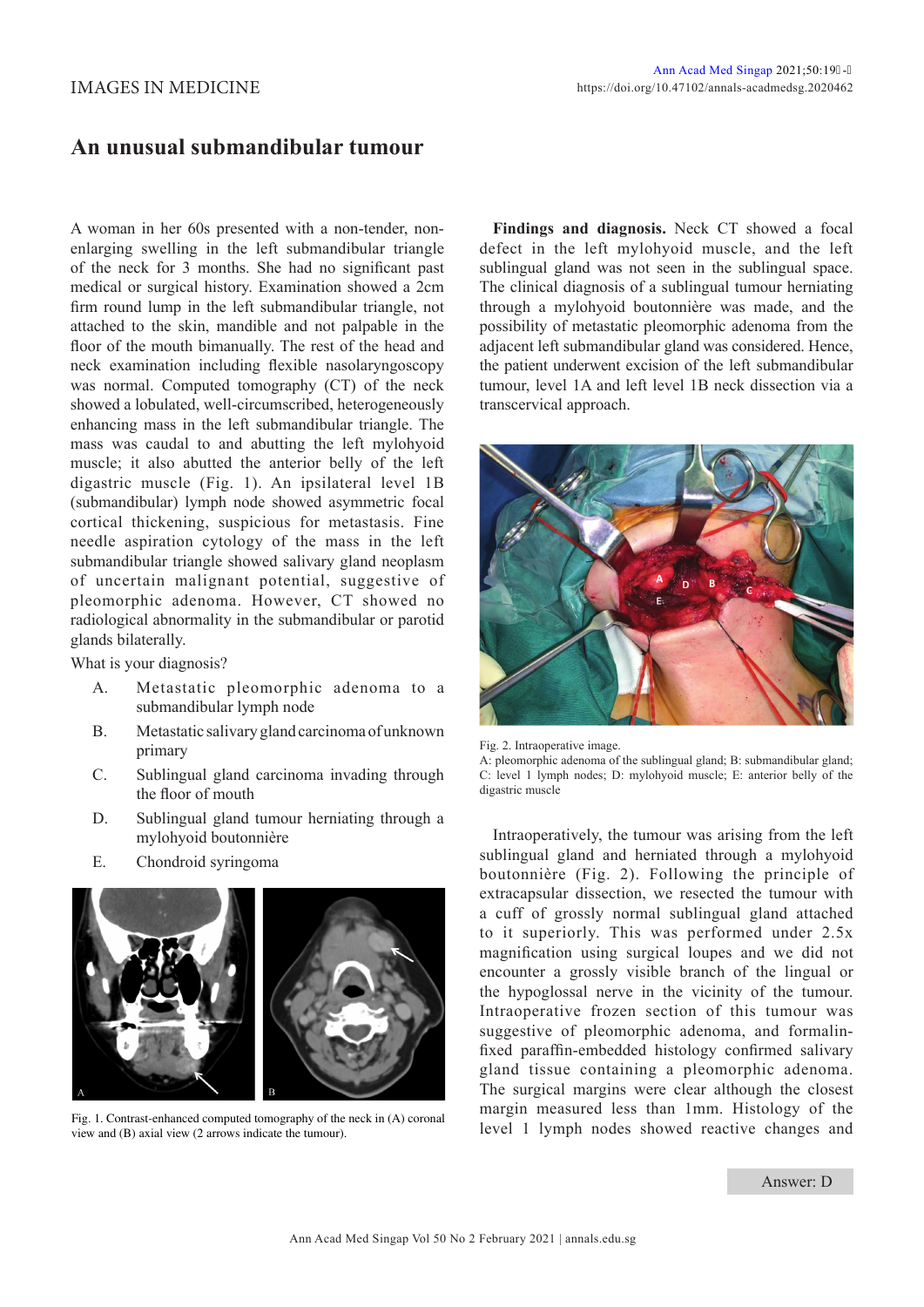## IMAGES IN MEDICINE

## **An unusual submandibular tumour**

A woman in her 60s presented with a non-tender, nonenlarging swelling in the left submandibular triangle of the neck for 3 months. She had no significant past medical or surgical history. Examination showed a 2cm firm round lump in the left submandibular triangle, not attached to the skin, mandible and not palpable in the floor of the mouth bimanually. The rest of the head and neck examination including flexible nasolaryngoscopy was normal. Computed tomography (CT) of the neck showed a lobulated, well-circumscribed, heterogeneously enhancing mass in the left submandibular triangle. The mass was caudal to and abutting the left mylohyoid muscle; it also abutted the anterior belly of the left digastric muscle (Fig. 1). An ipsilateral level 1B (submandibular) lymph node showed asymmetric focal cortical thickening, suspicious for metastasis. Fine needle aspiration cytology of the mass in the left submandibular triangle showed salivary gland neoplasm of uncertain malignant potential, suggestive of pleomorphic adenoma. However, CT showed no radiological abnormality in the submandibular or parotid glands bilaterally.

What is your diagnosis?

- A. Metastatic pleomorphic adenoma to a submandibular lymph node
- B. Metastatic salivary gland carcinoma of unknown primary
- C. Sublingual gland carcinoma invading through the floor of mouth
- D. Sublingual gland tumour herniating through a mylohyoid boutonnière
- E. Chondroid syringoma



Fig. 1. Contrast-enhanced computed tomography of the neck in (A) coronal view and (B) axial view (2 arrows indicate the tumour).

**Findings and diagnosis.** Neck CT showed a focal defect in the left mylohyoid muscle, and the left sublingual gland was not seen in the sublingual space. The clinical diagnosis of a sublingual tumour herniating through a mylohyoid boutonnière was made, and the possibility of metastatic pleomorphic adenoma from the adjacent left submandibular gland was considered. Hence, the patient underwent excision of the left submandibular tumour, level 1A and left level 1B neck dissection via a transcervical approach.



Fig. 2. Intraoperative image.

A: pleomorphic adenoma of the sublingual gland; B: submandibular gland; C: level 1 lymph nodes; D: mylohyoid muscle; E: anterior belly of the digastric muscle

Intraoperatively, the tumour was arising from the left sublingual gland and herniated through a mylohyoid boutonnière (Fig. 2). Following the principle of extracapsular dissection, we resected the tumour with a cuff of grossly normal sublingual gland attached to it superiorly. This was performed under 2.5x magnification using surgical loupes and we did not encounter a grossly visible branch of the lingual or the hypoglossal nerve in the vicinity of the tumour. Intraoperative frozen section of this tumour was suggestive of pleomorphic adenoma, and formalinfixed paraffin-embedded histology confirmed salivary gland tissue containing a pleomorphic adenoma. The surgical margins were clear although the closest margin measured less than 1mm. Histology of the level 1 lymph nodes showed reactive changes and

## Answer: D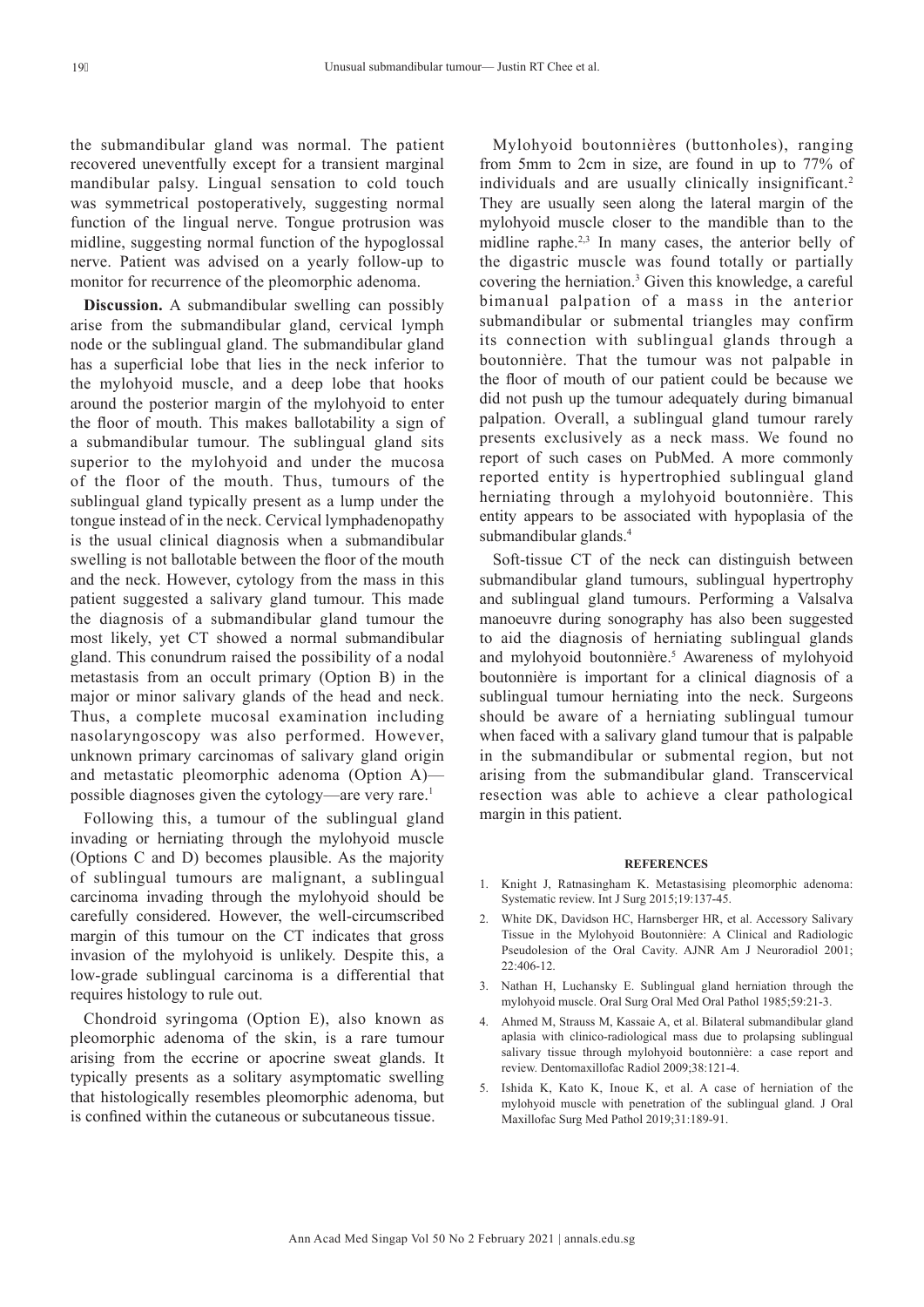the submandibular gland was normal. The patient recovered uneventfully except for a transient marginal mandibular palsy. Lingual sensation to cold touch was symmetrical postoperatively, suggesting normal function of the lingual nerve. Tongue protrusion was midline, suggesting normal function of the hypoglossal nerve. Patient was advised on a yearly follow-up to monitor for recurrence of the pleomorphic adenoma.

**Discussion.** A submandibular swelling can possibly arise from the submandibular gland, cervical lymph node or the sublingual gland. The submandibular gland has a superficial lobe that lies in the neck inferior to the mylohyoid muscle, and a deep lobe that hooks around the posterior margin of the mylohyoid to enter the floor of mouth. This makes ballotability a sign of a submandibular tumour. The sublingual gland sits superior to the mylohyoid and under the mucosa of the floor of the mouth. Thus, tumours of the sublingual gland typically present as a lump under the tongue instead of in the neck. Cervical lymphadenopathy is the usual clinical diagnosis when a submandibular swelling is not ballotable between the floor of the mouth and the neck. However, cytology from the mass in this patient suggested a salivary gland tumour. This made the diagnosis of a submandibular gland tumour the most likely, yet CT showed a normal submandibular gland. This conundrum raised the possibility of a nodal metastasis from an occult primary (Option B) in the major or minor salivary glands of the head and neck. Thus, a complete mucosal examination including nasolaryngoscopy was also performed. However, unknown primary carcinomas of salivary gland origin and metastatic pleomorphic adenoma (Option A) possible diagnoses given the cytology—are very rare.<sup>1</sup>

Following this, a tumour of the sublingual gland invading or herniating through the mylohyoid muscle (Options C and D) becomes plausible. As the majority of sublingual tumours are malignant, a sublingual carcinoma invading through the mylohyoid should be carefully considered. However, the well-circumscribed margin of this tumour on the CT indicates that gross invasion of the mylohyoid is unlikely. Despite this, a low-grade sublingual carcinoma is a differential that requires histology to rule out.

Chondroid syringoma (Option E), also known as pleomorphic adenoma of the skin, is a rare tumour arising from the eccrine or apocrine sweat glands. It typically presents as a solitary asymptomatic swelling that histologically resembles pleomorphic adenoma, but is confined within the cutaneous or subcutaneous tissue.

Mylohyoid boutonnières (buttonholes), ranging from 5mm to 2cm in size, are found in up to 77% of individuals and are usually clinically insignificant.<sup>2</sup> They are usually seen along the lateral margin of the mylohyoid muscle closer to the mandible than to the midline raphe.<sup>2,3</sup> In many cases, the anterior belly of the digastric muscle was found totally or partially covering the herniation.<sup>3</sup> Given this knowledge, a careful bimanual palpation of a mass in the anterior submandibular or submental triangles may confirm its connection with sublingual glands through a boutonnière. That the tumour was not palpable in the floor of mouth of our patient could be because we did not push up the tumour adequately during bimanual palpation. Overall, a sublingual gland tumour rarely presents exclusively as a neck mass. We found no report of such cases on PubMed. A more commonly reported entity is hypertrophied sublingual gland herniating through a mylohyoid boutonnière. This entity appears to be associated with hypoplasia of the submandibular glands.<sup>4</sup>

Soft-tissue CT of the neck can distinguish between submandibular gland tumours, sublingual hypertrophy and sublingual gland tumours. Performing a Valsalva manoeuvre during sonography has also been suggested to aid the diagnosis of herniating sublingual glands and mylohyoid boutonnière.<sup>5</sup> Awareness of mylohyoid boutonnière is important for a clinical diagnosis of a sublingual tumour herniating into the neck. Surgeons should be aware of a herniating sublingual tumour when faced with a salivary gland tumour that is palpable in the submandibular or submental region, but not arising from the submandibular gland. Transcervical resection was able to achieve a clear pathological margin in this patient.

## **REFERENCES**

- 1. Knight J, Ratnasingham K. Metastasising pleomorphic adenoma: Systematic review. Int J Surg 2015;19:137-45.
- 2. White DK, Davidson HC, Harnsberger HR, et al. Accessory Salivary Tissue in the Mylohyoid Boutonnière: A Clinical and Radiologic Pseudolesion of the Oral Cavity. AJNR Am J Neuroradiol 2001;  $22:406-12$
- 3. Nathan H, Luchansky E. Sublingual gland herniation through the mylohyoid muscle. Oral Surg Oral Med Oral Pathol 1985;59:21-3.
- 4. Ahmed M, Strauss M, Kassaie A, et al. Bilateral submandibular gland aplasia with clinico-radiological mass due to prolapsing sublingual salivary tissue through mylohyoid boutonnière: a case report and review. Dentomaxillofac Radiol 2009;38:121-4.
- 5. Ishida K, Kato K, Inoue K, et al. A case of herniation of the mylohyoid muscle with penetration of the sublingual gland. J Oral Maxillofac Surg Med Pathol 2019;31:189-91.